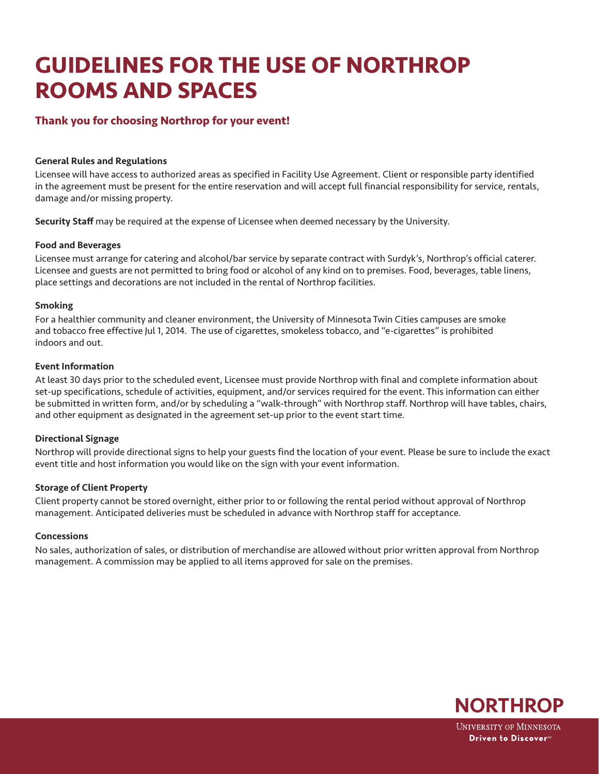# **GUIDELINES FOR THE USE OF NORTHROP ROOMS AND SPACES**

# **Thank you for choosing Northrop for your event!**

## General Rules and Regulations

Licensee will have access to authorized areas as specified in Facility Use Agreement. Client or responsible party identified in the agreement must be present for the entire reservation and will accept full financial responsibility for service, rentals, damage and/or missing property.

Security Staff may be required at the expense of Licensee when deemed necessary by the University.

#### Food and Beverages

Licensee must arrange for catering and alcohol/bar service by separate contract with Surdyk's, Northrop's official caterer. Licensee and guests are not permitted to bring food or alcohol of any kind on to premises. Food, beverages, table linens, place settings and decorations are not included in the rental of Northrop facilities.

## Smoking

For a healthier community and cleaner environment, the University of Minnesota Twin Cities campuses are smoke and tobacco free effective Jul 1, 2014. The use of cigarettes, smokeless tobacco, and "e-cigarettes" is prohibited indoors and out.

#### Event Information

At least 30 days prior to the scheduled event, Licensee must provide Northrop with final and complete information about set-up specifications, schedule of activities, equipment, and/or services required for the event. This information can either be submitted in written form, and/or by scheduling a "walk-through" with Northrop staff. Northrop will have tables, chairs, and other equipment as designated in the agreement set-up prior to the event start time.

# Directional Signage

Northrop will provide directional signs to help your guests find the location of your event. Please be sure to include the exact event title and host information you would like on the sign with your event information.

#### Storage of Client Property

Client property cannot be stored overnight, either prior to or following the rental period without approval of Northrop management. Anticipated deliveries must be scheduled in advance with Northrop staff for acceptance.

#### Concessions

No sales, authorization of sales, or distribution of merchandise are allowed without prior written approval from Northrop management. A commission may be applied to all items approved for sale on the premises.



**UNIVERSITY OF MINNESOTA** Driven to Discover<sup>®</sup>